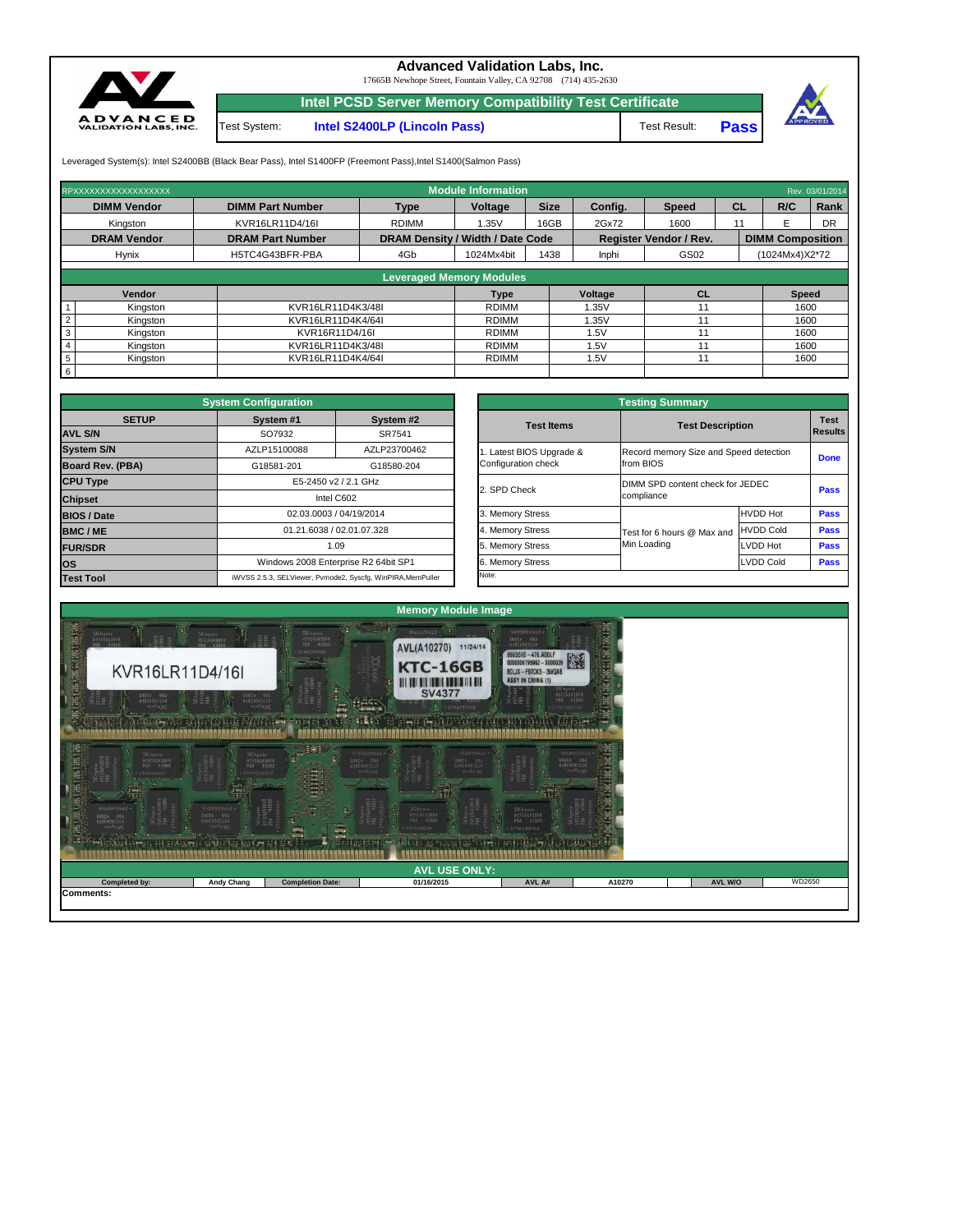**Intel PCSD Server Memory Compatibility Test Certificate**



## **Advanced Validation Labs, Inc.**

17665B Newhope Street, Fountain Valley, CA 92708 (714) 435-2630

Test Result: **Pass**



Leveraged System(s): Intel S2400BB (Black Bear Pass), Intel S1400FP (Freemont Pass), Intel S1400(Salmon Pass)

Test System: **Intel S2400LP (Lincoln Pass)**

|                    | RPXXXXXXXXXXXXXXXXXX |                         | <b>Module Information</b>               |                                 |                               |               |                         |                |              |             |  |  |  |
|--------------------|----------------------|-------------------------|-----------------------------------------|---------------------------------|-------------------------------|---------------|-------------------------|----------------|--------------|-------------|--|--|--|
| <b>DIMM Vendor</b> |                      | <b>DIMM Part Number</b> | <b>Type</b>                             | <b>Size</b><br><b>Voltage</b>   |                               | Config.       | <b>Speed</b>            | <b>CL</b>      | R/C          | <b>Rank</b> |  |  |  |
|                    | Kingston             | KVR16LR11D4/16I         | <b>RDIMM</b>                            | 16GB<br>1.35V                   |                               | 2Gx72         | 1600                    | 11             |              | DR          |  |  |  |
|                    | <b>DRAM Vendor</b>   | <b>DRAM Part Number</b> | <b>DRAM Density / Width / Date Code</b> |                                 | <b>Register Vendor / Rev.</b> |               | <b>DIMM Composition</b> |                |              |             |  |  |  |
|                    | <b>Hynix</b>         | H5TC4G43BFR-PBA         | 4Gb                                     | 1024Mx4bit<br>1438              |                               | GS02<br>Inphi |                         | (1024Mx4)X2*72 |              |             |  |  |  |
|                    |                      |                         |                                         |                                 |                               |               |                         |                |              |             |  |  |  |
|                    |                      |                         |                                         | <b>Leveraged Memory Modules</b> |                               |               |                         |                |              |             |  |  |  |
| <b>Vendor</b>      |                      |                         |                                         |                                 |                               | Voltage       | CL                      |                | <b>Speed</b> |             |  |  |  |

|    | Vendor   |                   | <b>Type</b>  | <b>Voltage</b> | ◡∟ | <b>Speed</b> |
|----|----------|-------------------|--------------|----------------|----|--------------|
|    | Kingston | KVR16LR11D4K3/48I | <b>RDIMM</b> | 1.35V          |    | 1600         |
|    | Kingston | KVR16LR11D4K4/64I | <b>RDIMM</b> | .35V           |    | 1600         |
|    | Kingston | KVR16R11D4/16I    | <b>RDIMM</b> | .5V            |    | 1600         |
|    | Kingston | KVR16LR11D4K3/48I | <b>RDIMM</b> | 5V             |    | 1600         |
| Ð  | Kingston | KVR16LR11D4K4/64I | <b>RDIMM</b> | 5V             |    | 1600         |
| -6 |          |                   |              |                |    |              |

|              | <b>System Configuration</b>                                 |                           |                         | <b>Testing Summary</b>           |                                                     |             |  |  |
|--------------|-------------------------------------------------------------|---------------------------|-------------------------|----------------------------------|-----------------------------------------------------|-------------|--|--|
| <b>SETUP</b> | System #1                                                   | System #2                 |                         |                                  |                                                     |             |  |  |
|              | SO7932                                                      | SR7541                    | <b>Test Items</b>       |                                  | <b>Test Description</b>                             |             |  |  |
|              | AZLP15100088                                                | AZLP23700462              | . Latest BIOS Upgrade & |                                  | Record memory Size and Speed detection<br>from BIOS |             |  |  |
| <b>BA)</b>   | G18581-201                                                  | G18580-204                | Configuration check     |                                  |                                                     |             |  |  |
|              |                                                             | E5-2450 v2 / 2.1 GHz      |                         | DIMM SPD content check for JEDEC |                                                     |             |  |  |
|              |                                                             | Intel C602                | 2. SPD Check            | compliance                       | <b>Pass</b>                                         |             |  |  |
|              |                                                             | 02.03.0003 / 04/19/2014   | 3. Memory Stress        |                                  | <b>HVDD Hot</b>                                     | <b>Pass</b> |  |  |
|              |                                                             | 01.21.6038 / 02.01.07.328 | 4. Memory Stress        | Test for 6 hours @ Max and       | <b>HVDD Cold</b>                                    | <b>Pass</b> |  |  |
|              |                                                             | 1.09                      |                         | Min Loading                      | LVDD Hot                                            | <b>Pass</b> |  |  |
|              | Windows 2008 Enterprise R2 64bit SP1                        |                           | 6. Memory Stress        |                                  | <b>LVDD Cold</b>                                    | <b>Pass</b> |  |  |
|              | iWVSS 2.5.3, SELViewer, Pvmode2, Syscfg, WinPIRA, MemPuller |                           | Note:                   |                                  |                                                     |             |  |  |

|                         | <b>System Configuration</b> |                                                             | <b>Testing Summary</b>   |                                        |                  |             |  |  |  |
|-------------------------|-----------------------------|-------------------------------------------------------------|--------------------------|----------------------------------------|------------------|-------------|--|--|--|
| <b>SETUP</b>            | System #1                   | System #2<br>SO7932<br>SR7541                               |                          | <b>Test Description</b>                |                  | <b>Test</b> |  |  |  |
| <b>AVL S/N</b>          |                             |                                                             |                          |                                        |                  |             |  |  |  |
| <b>System S/N</b>       | AZLP15100088                | AZLP23700462                                                | 1. Latest BIOS Upgrade & | Record memory Size and Speed detection |                  | <b>Done</b> |  |  |  |
| <b>Board Rev. (PBA)</b> | G18581-201                  | G18580-204                                                  | Configuration check      | from BIOS                              |                  |             |  |  |  |
| <b>CPU Type</b>         |                             | E5-2450 v2 / 2.1 GHz                                        | 2. SPD Check             | DIMM SPD content check for JEDEC       |                  |             |  |  |  |
| <b>Chipset</b>          |                             | Intel C602                                                  |                          | compliance                             | <b>Pass</b>      |             |  |  |  |
| <b>BIOS / Date</b>      |                             | 02.03.0003 / 04/19/2014                                     | 3. Memory Stress         |                                        | <b>HVDD Hot</b>  | <b>Pass</b> |  |  |  |
| <b>BMC/ME</b>           |                             | 01.21.6038 / 02.01.07.328                                   | 4. Memory Stress         | Test for 6 hours @ Max and             | <b>HVDD Cold</b> | <b>Pass</b> |  |  |  |
| <b>FUR/SDR</b>          |                             | 1.09                                                        | 5. Memory Stress         | Min Loading                            | LVDD Hot         | <b>Pass</b> |  |  |  |
| <b>OS</b>               |                             | Windows 2008 Enterprise R2 64bit SP1                        | 6. Memory Stress         |                                        | LVDD Cold        | <b>Pass</b> |  |  |  |
| <b>Test Tool</b>        |                             | iWVSS 2.5.3, SELViewer, Pvmode2, Syscfg, WinPIRA, MemPuller | Note:                    |                                        |                  |             |  |  |  |